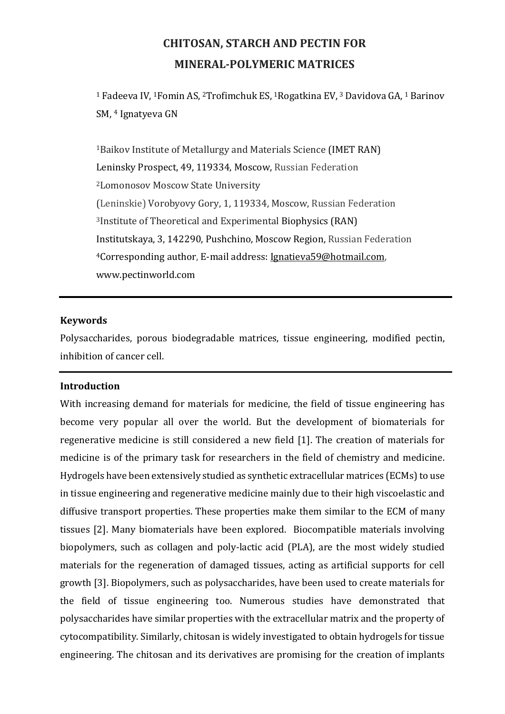# CHITOSAN, STARCH AND PECTIN FOR MINERAL-POLYMERIC MATRICES

<sup>1</sup> Fadeeva IV, 1Fomin AS, 2Trofimchuk ES, 1Rogatkina EV, 3 Davidova GA, 1 Barinov SM, 4 Ignatyeva GN

<sup>1</sup>Baikov Institute of Metallurgy and Materials Science (IMET RAN) Leninsky Prospect, 49, 119334, Moscow, Russian Federation <sup>2</sup>Lomonosov Moscow State University (Leninskie) Vorobyovy Gory, 1, 119334, Moscow, Russian Federation <sup>3</sup>Institute of Theoretical and Experimental Biophysics (RAN) Institutskaya, 3, 142290, Pushchino, Moscow Region, Russian Federation <sup>4</sup>Corresponding author, E-mail address: Ignatieva59@hotmail.com, www.pectinworld.com

### Keywords

Polysaccharides, porous biodegradable matrices, tissue engineering, modified pectin, inhibition of cancer cell.

#### Introduction

With increasing demand for materials for medicine, the field of tissue engineering has become very popular all over the world. But the development of biomaterials for regenerative medicine is still considered a new field [1]. The creation of materials for medicine is of the primary task for researchers in the field of chemistry and medicine. Hydrogels have been extensively studied as synthetic extracellular matrices (ECMs) to use in tissue engineering and regenerative medicine mainly due to their high viscoelastic and diffusive transport properties. These properties make them similar to the ECM of many tissues [2]. Many biomaterials have been explored. Biocompatible materials involving biopolymers, such as collagen and poly-lactic acid (PLA), are the most widely studied materials for the regeneration of damaged tissues, acting as artificial supports for cell growth [3]. Biopolymers, such as polysaccharides, have been used to create materials for the field of tissue engineering too. Numerous studies have demonstrated that polysaccharides have similar properties with the extracellular matrix and the property of cytocompatibility. Similarly, chitosan is widely investigated to obtain hydrogels for tissue engineering. The chitosan and its derivatives are promising for the creation of implants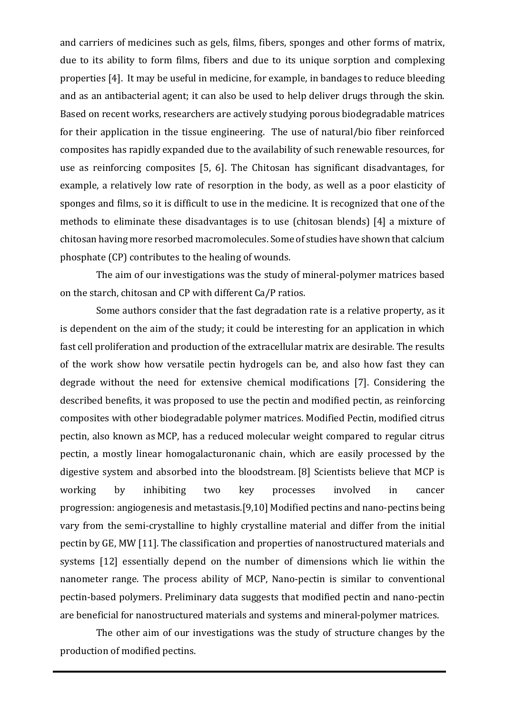and carriers of medicines such as gels, films, fibers, sponges and other forms of matrix, due to its ability to form films, fibers and due to its unique sorption and complexing properties [4]. It may be useful in medicine, for example, in bandages to reduce bleeding and as an antibacterial agent; it can also be used to help deliver drugs through the skin. Based on recent works, researchers are actively studying porous biodegradable matrices for their application in the tissue engineering. The use of natural/bio fiber reinforced composites has rapidly expanded due to the availability of such renewable resources, for use as reinforcing composites [5, 6]. The Chitosan has significant disadvantages, for example, a relatively low rate of resorption in the body, as well as a poor elasticity of sponges and films, so it is difficult to use in the medicine. It is recognized that one of the methods to eliminate these disadvantages is to use (chitosan blends) [4] a mixture of chitosan having more resorbed macromolecules. Some of studies have shown that calcium phosphate (CP) contributes to the healing of wounds.

The aim of our investigations was the study of mineral-polymer matrices based on the starch, chitosan and CP with different Ca/P ratios.

Some authors consider that the fast degradation rate is a relative property, as it is dependent on the aim of the study; it could be interesting for an application in which fast cell proliferation and production of the extracellular matrix are desirable. The results of the work show how versatile pectin hydrogels can be, and also how fast they can degrade without the need for extensive chemical modifications [7]. Considering the described benefits, it was proposed to use the pectin and modified pectin, as reinforcing composites with other biodegradable polymer matrices. Modified Pectin, modified citrus pectin, also known as MCP, has a reduced molecular weight compared to regular citrus pectin, a mostly linear homogalacturonanic chain, which are easily processed by the digestive system and absorbed into the bloodstream. [8] Scientists believe that MCP is working by inhibiting two key processes involved in cancer progression: angiogenesis and metastasis.[9,10] Modified pectins and nano-pectins being vary from the semi-crystalline to highly crystalline material and differ from the initial pectin by GE, MW [11]. The classification and properties of nanostructured materials and systems [12] essentially depend on the number of dimensions which lie within the nanometer range. The process ability of MCP, Nano-pectin is similar to conventional pectin-based polymers. Preliminary data suggests that modified pectin and nano-pectin are beneficial for nanostructured materials and systems and mineral-polymer matrices.

The other aim of our investigations was the study of structure changes by the production of modified pectins.